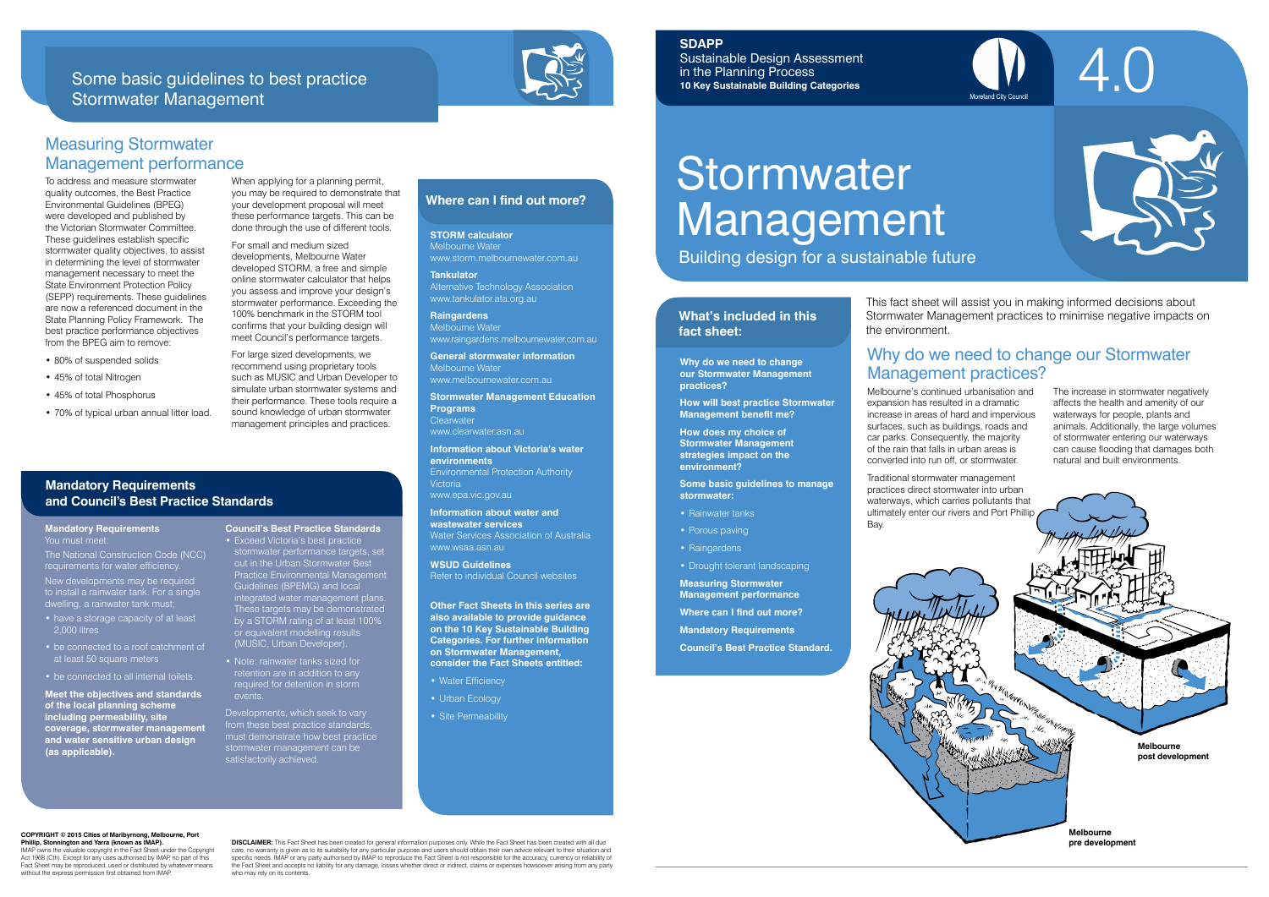Building design for a sustainable future

#### **What's included in this fact sheet:**





Melbourne's continued urbanisation and expansion has resulted in a dramatic increase in areas of hard and impervious surfaces, such as buildings, roads and car parks. Consequently, the majority of the rain that falls in urban areas is converted into run off, or stormwater.

The increase in stormwater negatively affects the health and amenity of our waterways for people, plants and animals. Additionally, the large volumes of stormwater entering our waterways can cause flooding that damages both natural and built environments.

Traditional stormwater management practices direct stormwater into urban

Why do we need to change<br> **WHY DO WE NEED TO CHANGE WATER**<br>
Management **Management** practices? **our Stormwater Management practices?**

Bay.

- **Some basic guidelines to manage stormwater:**
- Rainwater tanks
- Porous paving
- Raingardens
- Drought tolerant landscaping

## Why do we need to change our Stormwater

waterways, which carries pollutants that ultimately enter our rivers and Port Phillip **Melbourne pre development Melbourne post development**

**How will best practice Stormwater Management benefit me?**

**Stormwater Management Education Programs Clearwater** www.clearwater.asn.au

**Information about Victoria's water environments** Environmental Protection Authority **Victoria** 

**How does my choice of Stormwater Management strategies impact on the environment?**

**Measuring Stormwater Management performance Where can I find out more? Mandatory Requirements Council's Best Practice Standard.**



- Water Efficiency
- Urban Ecology
- Site Permeability

# Stormwater Management

This fact sheet will assist you in making informed decisions about Stormwater Management practices to minimise negative impacts on

the environment.

#### **SDAPP**

Sustainable Design Assessment in the Planning Process **10 Key Sustainable Building Categories**

**STORM calculator**  Melbourne Water www.storm.melbournewater.com.au

**Tankulator**  Alternative Technology Association www.tankulator.ata.org.au

#### When applying for a planning permit, you may be required to demonstrate that your development proposal will meet these performance targets. This can be done through the use of different tools.

**Raingardens** Melbourne Water www.raingardens.melbournewater.com.au

**General stormwater information** Melbourne Water

www.melbournewater.com.au

## Some basic quidelines to best practice Stormwater Management



www.epa.vic.gov.au

IMAP owns the valuable copyright in the Fact Sheet under the Copyright Act 1968 (Cth). Except for any uses authorised by IMAP, no part of this Fact Sheet may be reproduced, used or distributed by whatever means without the express permission first obtained from IMAF

**Information about water and wastewater services**  Water Services Association of Australia www.wsaa.asn.au

**WSUD Guidelines** Refer to individual Council websites

**DISCLAIMER:** This Fact Sheet has been created for general information purposes only. While the Fact Sheet has been created with all due care, no warranty is given as to its suitability for any particular purpose and users should obtain their own advice relevant to their situation and<br>specific needs. IMAP or any party authorised by IMAP to reproduce the Fac the Fact Sheet and accepts no liability for any damage, losses whether direct or indirect, claims or expenses howsoever arising from any party who may rely on its contents.



**Other Fact Sheets in this series are also available to provide guidance on the 10 Key Sustainable Building Categories. For further information on Stormwater Management, consider the Fact Sheets entitled:** 

#### **Where can I find out more?**

#### **Mandatory Requirements and Council's Best Practice Standards**

## Measuring Stormwater Management performance

To address and measure stormwater quality outcomes, the Best Practice Environmental Guidelines (BPEG) were developed and published by the Victorian Stormwater Committee. These guidelines establish specific stormwater quality objectives, to assist in determining the level of stormwater management necessary to meet the State Environment Protection Policy (SEPP) requirements. These guidelines are now a referenced document in the State Planning Policy Framework. The best practice performance objectives from the BPEG aim to remove:

- 80% of suspended solids
- 45% of total Nitrogen
- 45% of total Phosphorus
- 70% of typical urban annual litter load.

For small and medium sized developments, Melbourne Water developed STORM, a free and simple online stormwater calculator that helps you assess and improve your design's stormwater performance. Exceeding the 100% benchmark in the STORM tool confirms that your building design will meet Council's performance targets.

For large sized developments, we recommend using proprietary tools such as MUSIC and Urban Developer to simulate urban stormwater systems and their performance. These tools require a sound knowledge of urban stormwater management principles and practices.

#### **COPYRIGHT © 2015 Cities of Maribyrnong, Melbourne, Port Phillip, Stonnington and Yarra (known as IMAP).**

#### **Mandatory Requirements** You must meet:

The National Construction Code (NCC) requirements for water efficiency. New developments may be required to install a rainwater tank. For a single dwelling, a rainwater tank must;

- have a storage capacity of at least 2,000 litres
- be connected to a roof catchment of at least 50 square meters
- be connected to all internal toilets.

**Meet the objectives and standards of the local planning scheme including permeability, site coverage, stormwater management and water sensitive urban design (as applicable).**

#### **Council's Best Practice Standards**

• Exceed Victoria's best practice stormwater performance targets, set out in the Urban Stormwater Best Practice Environmental Management Guidelines (BPEMG) and local integrated water management plans. These targets may be demonstrated by a STORM rating of at least 100% or equivalent modelling results (MUSIC, Urban Developer).

• Note: rainwater tanks sized for retention are in addition to any required for detention in storm events.

Developments, which seek to vary from these best practice standards, must demonstrate how best practice stormwater management can be satisfactorily achieved.